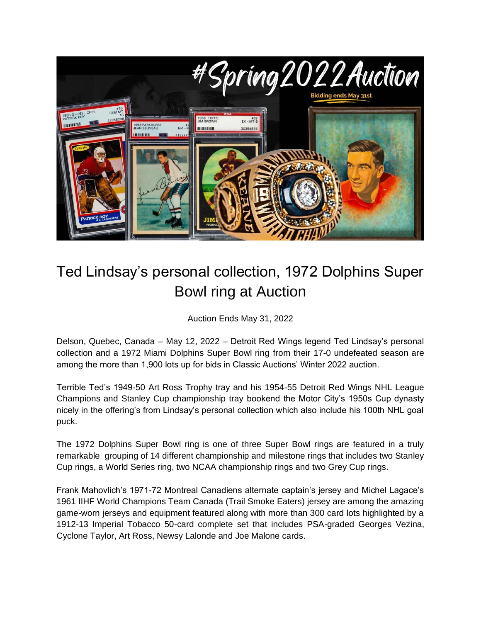

## Ted Lindsay's personal collection, 1972 Dolphins Super Bowl ring at Auction

Auction Ends May 31, 2022

Delson, Quebec, Canada – May 12, 2022 – Detroit Red Wings legend Ted Lindsay's personal collection and a 1972 Miami Dolphins Super Bowl ring from their 17-0 undefeated season are among the more than 1,900 lots up for bids in Classic Auctions' Winter 2022 auction.

Terrible Ted's 1949-50 Art Ross Trophy tray and his 1954-55 Detroit Red Wings NHL League Champions and Stanley Cup championship tray bookend the Motor City's 1950s Cup dynasty nicely in the offering's from Lindsay's personal collection which also include his 100th NHL goal puck.

The 1972 Dolphins Super Bowl ring is one of three Super Bowl rings are featured in a truly remarkable grouping of 14 different championship and milestone rings that includes two Stanley Cup rings, a World Series ring, two NCAA championship rings and two Grey Cup rings.

Frank Mahovlich's 1971-72 Montreal Canadiens alternate captain's jersey and Michel Lagace's 1961 IIHF World Champions Team Canada (Trail Smoke Eaters) jersey are among the amazing game-worn jerseys and equipment featured along with more than 300 card lots highlighted by a 1912-13 Imperial Tobacco 50-card complete set that includes PSA-graded Georges Vezina, Cyclone Taylor, Art Ross, Newsy Lalonde and Joe Malone cards.